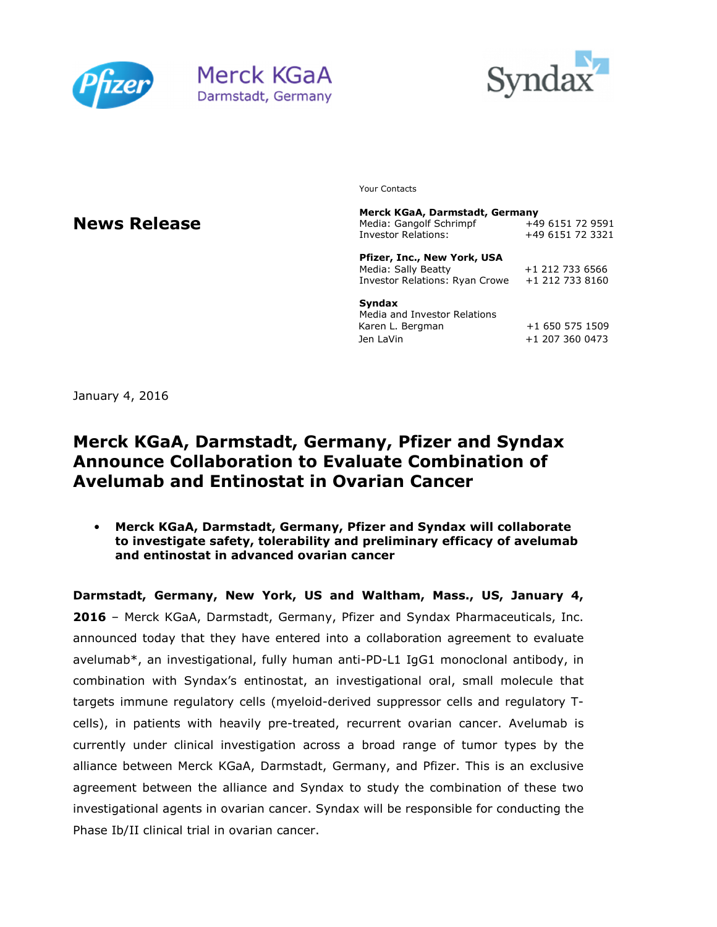





Your Contacts

### **News Release**

**Merck KGaA, Darmstadt, Germany**  Media: Gangolf Schrimpf Investor Relations: +49 6151 72 3321 **Pfizer, Inc., New York, USA**  Media: Sally Beatty +1 212 733 6566 Investor Relations: Ryan Crowe +1 212 733 8160

**Syndax** 

Media and Investor Relations Karen L. Bergman +1 650 575 1509 Jen LaVin +1 207 360 0473

January 4, 2016

# **Merck KGaA, Darmstadt, Germany, Pfizer and Syndax Announce Collaboration to Evaluate Combination of Avelumab and Entinostat in Ovarian Cancer**

• **Merck KGaA, Darmstadt, Germany, Pfizer and Syndax will collaborate to investigate safety, tolerability and preliminary efficacy of avelumab and entinostat in advanced ovarian cancer** 

**Darmstadt, Germany, New York, US and Waltham, Mass., US, January 4, 2016** – Merck KGaA, Darmstadt, Germany, Pfizer and Syndax Pharmaceuticals, Inc. announced today that they have entered into a collaboration agreement to evaluate avelumab\*, an investigational, fully human anti-PD-L1 IgG1 monoclonal antibody, in combination with Syndax's entinostat, an investigational oral, small molecule that targets immune regulatory cells (myeloid-derived suppressor cells and regulatory Tcells), in patients with heavily pre-treated, recurrent ovarian cancer. Avelumab is currently under clinical investigation across a broad range of tumor types by the alliance between Merck KGaA, Darmstadt, Germany, and Pfizer. This is an exclusive agreement between the alliance and Syndax to study the combination of these two investigational agents in ovarian cancer. Syndax will be responsible for conducting the Phase Ib/II clinical trial in ovarian cancer.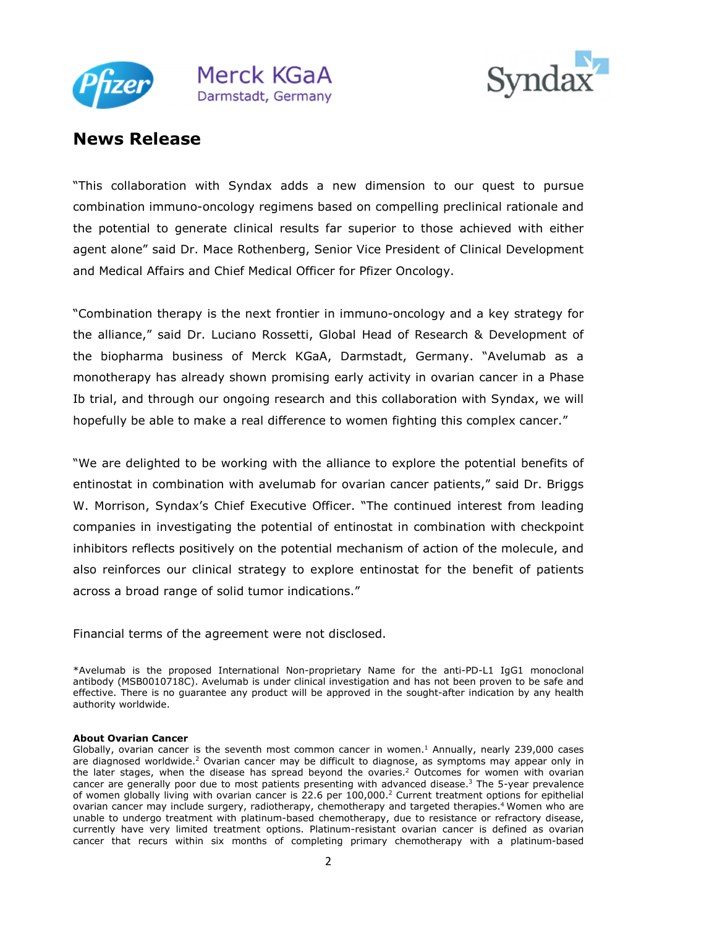



"This collaboration with Syndax adds a new dimension to our quest to pursue combination immuno-oncology regimens based on compelling preclinical rationale and the potential to generate clinical results far superior to those achieved with either agent alone" said Dr. Mace Rothenberg, Senior Vice President of Clinical Development and Medical Affairs and Chief Medical Officer for Pfizer Oncology.

"Combination therapy is the next frontier in immuno-oncology and a key strategy for the alliance," said Dr. Luciano Rossetti, Global Head of Research & Development of the biopharma business of Merck KGaA, Darmstadt, Germany. "Avelumab as a monotherapy has already shown promising early activity in ovarian cancer in a Phase Ib trial, and through our ongoing research and this collaboration with Syndax, we will hopefully be able to make a real difference to women fighting this complex cancer."

"We are delighted to be working with the alliance to explore the potential benefits of entinostat in combination with avelumab for ovarian cancer patients," said Dr. Briggs W. Morrison, Syndax's Chief Executive Officer. "The continued interest from leading companies in investigating the potential of entinostat in combination with checkpoint inhibitors reflects positively on the potential mechanism of action of the molecule, and also reinforces our clinical strategy to explore entinostat for the benefit of patients across a broad range of solid tumor indications."

Financial terms of the agreement were not disclosed.

#### **About Ovarian Cancer**

<sup>\*</sup>Avelumab is the proposed International Non-proprietary Name for the anti-PD-L1 IgG1 monoclonal antibody (MSB0010718C). Avelumab is under clinical investigation and has not been proven to be safe and effective. There is no guarantee any product will be approved in the sought-after indication by any health authority worldwide.

Globally, ovarian cancer is the seventh most common cancer in women. $<sup>1</sup>$  Annually, nearly 239,000 cases</sup> are diagnosed worldwide.<sup>2</sup> Ovarian cancer may be difficult to diagnose, as symptoms may appear only in the later stages, when the disease has spread beyond the ovaries.<sup>2</sup> Outcomes for women with ovarian cancer are generally poor due to most patients presenting with advanced disease.<sup>3</sup> The 5-year prevalence of women globally living with ovarian cancer is 22.6 per 100,000.<sup>2</sup> Current treatment options for epithelial ovarian cancer may include surgery, radiotherapy, chemotherapy and targeted therapies.<sup>4</sup> Women who are unable to undergo treatment with platinum-based chemotherapy, due to resistance or refractory disease, currently have very limited treatment options. Platinum-resistant ovarian cancer is defined as ovarian cancer that recurs within six months of completing primary chemotherapy with a platinum-based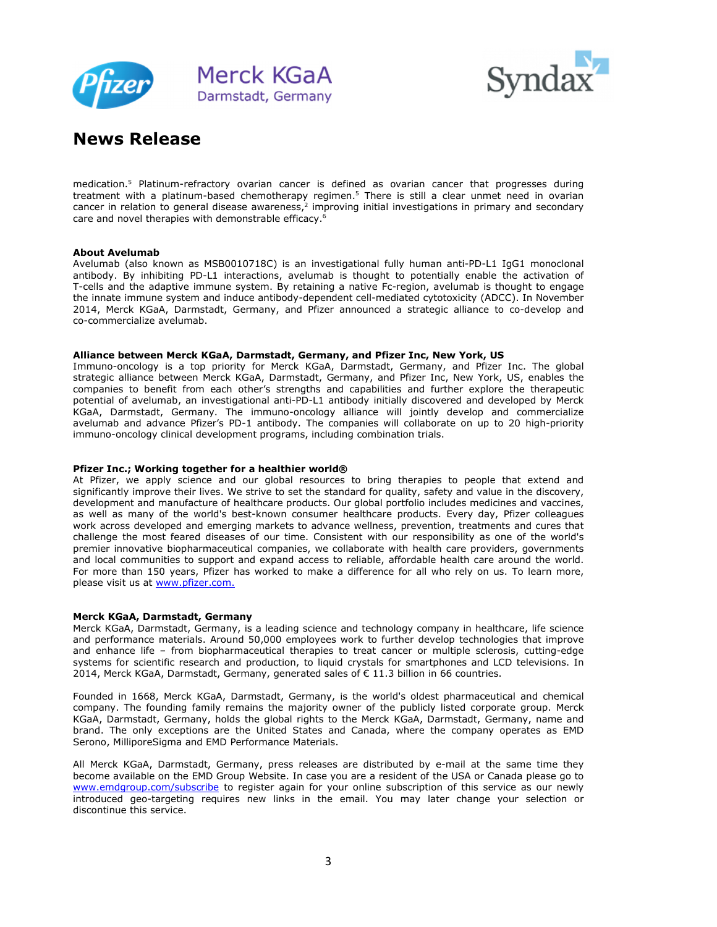



medication.<sup>5</sup> Platinum-refractory ovarian cancer is defined as ovarian cancer that progresses during treatment with a platinum-based chemotherapy regimen.<sup>5</sup> There is still a clear unmet need in ovarian cancer in relation to general disease awareness,<sup>2</sup> improving initial investigations in primary and secondary care and novel therapies with demonstrable efficacy. 6

#### **About Avelumab**

Avelumab (also known as MSB0010718C) is an investigational fully human anti-PD-L1 IgG1 monoclonal antibody. By inhibiting PD-L1 interactions, avelumab is thought to potentially enable the activation of T-cells and the adaptive immune system. By retaining a native Fc-region, avelumab is thought to engage the innate immune system and induce antibody-dependent cell-mediated cytotoxicity (ADCC). In November 2014, Merck KGaA, Darmstadt, Germany, and Pfizer announced a strategic alliance to co-develop and co-commercialize avelumab.

#### **Alliance between Merck KGaA, Darmstadt, Germany, and Pfizer Inc, New York, US**

Immuno-oncology is a top priority for Merck KGaA, Darmstadt, Germany, and Pfizer Inc. The global strategic alliance between Merck KGaA, Darmstadt, Germany, and Pfizer Inc, New York, US, enables the companies to benefit from each other's strengths and capabilities and further explore the therapeutic potential of avelumab, an investigational anti-PD-L1 antibody initially discovered and developed by Merck KGaA, Darmstadt, Germany. The immuno-oncology alliance will jointly develop and commercialize avelumab and advance Pfizer's PD-1 antibody. The companies will collaborate on up to 20 high-priority immuno-oncology clinical development programs, including combination trials.

#### **Pfizer Inc.; Working together for a healthier world®**

At Pfizer, we apply science and our global resources to bring therapies to people that extend and significantly improve their lives. We strive to set the standard for quality, safety and value in the discovery, development and manufacture of healthcare products. Our global portfolio includes medicines and vaccines, as well as many of the world's best-known consumer healthcare products. Every day, Pfizer colleagues work across developed and emerging markets to advance wellness, prevention, treatments and cures that challenge the most feared diseases of our time. Consistent with our responsibility as one of the world's premier innovative biopharmaceutical companies, we collaborate with health care providers, governments and local communities to support and expand access to reliable, affordable health care around the world. For more than 150 years, Pfizer has worked to make a difference for all who rely on us. To learn more, please visit us at www.pfizer.com.

#### **Merck KGaA, Darmstadt, Germany**

Merck KGaA, Darmstadt, Germany, is a leading science and technology company in healthcare, life science and performance materials. Around 50,000 employees work to further develop technologies that improve and enhance life – from biopharmaceutical therapies to treat cancer or multiple sclerosis, cutting-edge systems for scientific research and production, to liquid crystals for smartphones and LCD televisions. In 2014, Merck KGaA, Darmstadt, Germany, generated sales of  $\epsilon$  11.3 billion in 66 countries.

Founded in 1668, Merck KGaA, Darmstadt, Germany, is the world's oldest pharmaceutical and chemical company. The founding family remains the majority owner of the publicly listed corporate group. Merck KGaA, Darmstadt, Germany, holds the global rights to the Merck KGaA, Darmstadt, Germany, name and brand. The only exceptions are the United States and Canada, where the company operates as EMD Serono, MilliporeSigma and EMD Performance Materials.

All Merck KGaA, Darmstadt, Germany, press releases are distributed by e-mail at the same time they become available on the EMD Group Website. In case you are a resident of the USA or Canada please go to www.emdgroup.com/subscribe to register again for your online subscription of this service as our newly introduced geo-targeting requires new links in the email. You may later change your selection or discontinue this service.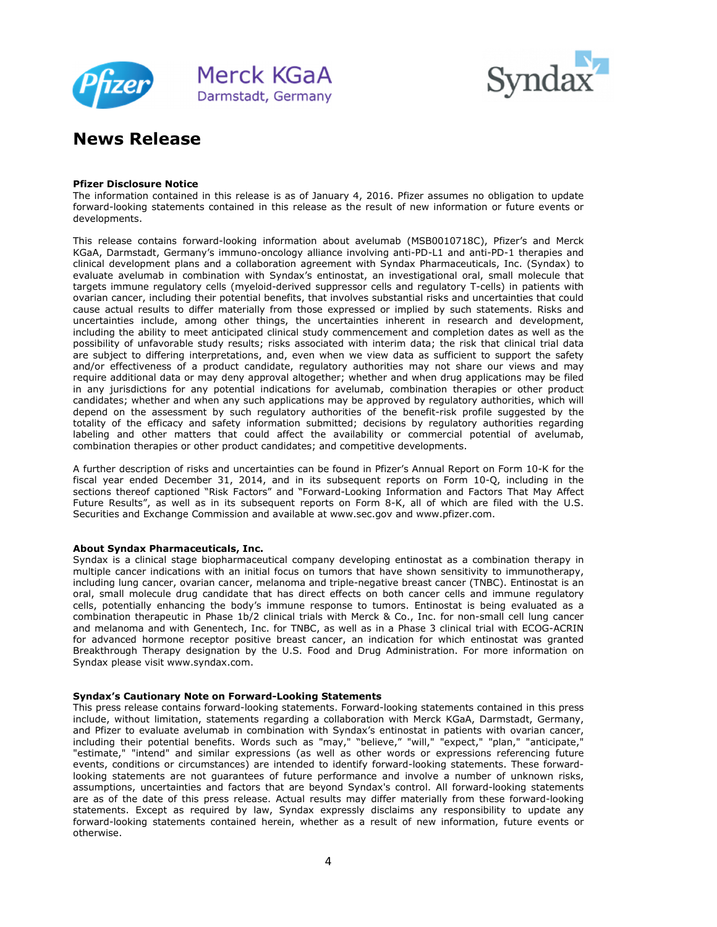



#### **Pfizer Disclosure Notice**

The information contained in this release is as of January 4, 2016. Pfizer assumes no obligation to update forward-looking statements contained in this release as the result of new information or future events or developments.

This release contains forward-looking information about avelumab (MSB0010718C), Pfizer's and Merck KGaA, Darmstadt, Germany's immuno-oncology alliance involving anti-PD-L1 and anti-PD-1 therapies and clinical development plans and a collaboration agreement with Syndax Pharmaceuticals, Inc. (Syndax) to evaluate avelumab in combination with Syndax's entinostat, an investigational oral, small molecule that targets immune regulatory cells (myeloid-derived suppressor cells and regulatory T-cells) in patients with ovarian cancer, including their potential benefits, that involves substantial risks and uncertainties that could cause actual results to differ materially from those expressed or implied by such statements. Risks and uncertainties include, among other things, the uncertainties inherent in research and development, including the ability to meet anticipated clinical study commencement and completion dates as well as the possibility of unfavorable study results; risks associated with interim data; the risk that clinical trial data are subject to differing interpretations, and, even when we view data as sufficient to support the safety and/or effectiveness of a product candidate, regulatory authorities may not share our views and may require additional data or may deny approval altogether; whether and when drug applications may be filed in any jurisdictions for any potential indications for avelumab, combination therapies or other product candidates; whether and when any such applications may be approved by regulatory authorities, which will depend on the assessment by such regulatory authorities of the benefit-risk profile suggested by the totality of the efficacy and safety information submitted; decisions by regulatory authorities regarding labeling and other matters that could affect the availability or commercial potential of avelumab, combination therapies or other product candidates; and competitive developments.

A further description of risks and uncertainties can be found in Pfizer's Annual Report on Form 10-K for the fiscal year ended December 31, 2014, and in its subsequent reports on Form 10-Q, including in the sections thereof captioned "Risk Factors" and "Forward-Looking Information and Factors That May Affect Future Results", as well as in its subsequent reports on Form 8-K, all of which are filed with the U.S. Securities and Exchange Commission and available at www.sec.gov and www.pfizer.com.

#### **About Syndax Pharmaceuticals, Inc.**

Syndax is a clinical stage biopharmaceutical company developing entinostat as a combination therapy in multiple cancer indications with an initial focus on tumors that have shown sensitivity to immunotherapy, including lung cancer, ovarian cancer, melanoma and triple-negative breast cancer (TNBC). Entinostat is an oral, small molecule drug candidate that has direct effects on both cancer cells and immune regulatory cells, potentially enhancing the body's immune response to tumors. Entinostat is being evaluated as a combination therapeutic in Phase 1b/2 clinical trials with Merck & Co., Inc. for non-small cell lung cancer and melanoma and with Genentech, Inc. for TNBC, as well as in a Phase 3 clinical trial with ECOG-ACRIN for advanced hormone receptor positive breast cancer, an indication for which entinostat was granted Breakthrough Therapy designation by the U.S. Food and Drug Administration. For more information on Syndax please visit www.syndax.com.

#### **Syndax's Cautionary Note on Forward-Looking Statements**

This press release contains forward-looking statements. Forward-looking statements contained in this press include, without limitation, statements regarding a collaboration with Merck KGaA, Darmstadt, Germany, and Pfizer to evaluate avelumab in combination with Syndax's entinostat in patients with ovarian cancer, including their potential benefits. Words such as "may," "believe," "will," "expect," "plan," "anticipate,' "estimate," "intend" and similar expressions (as well as other words or expressions referencing future events, conditions or circumstances) are intended to identify forward-looking statements. These forwardlooking statements are not guarantees of future performance and involve a number of unknown risks, assumptions, uncertainties and factors that are beyond Syndax's control. All forward-looking statements are as of the date of this press release. Actual results may differ materially from these forward-looking statements. Except as required by law, Syndax expressly disclaims any responsibility to update any forward-looking statements contained herein, whether as a result of new information, future events or otherwise.